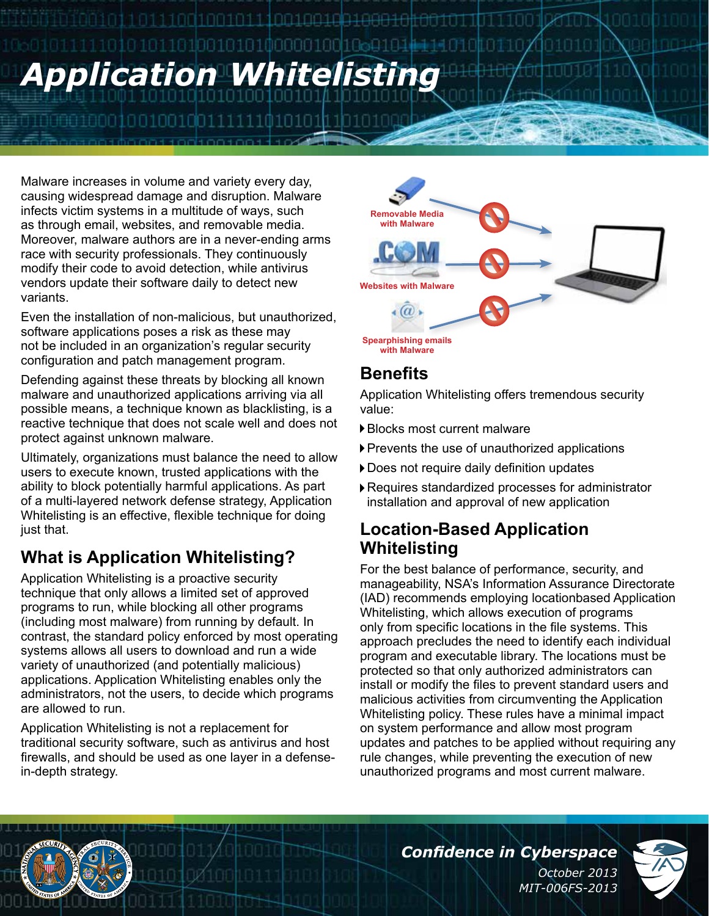# 010110100101010000010010 *Application Whitelisting*

10010010111001001

Malware increases in volume and variety every day, causing widespread damage and disruption. Malware infects victim systems in a multitude of ways, such as through email, websites, and removable media. Moreover, malware authors are in a never-ending arms race with security professionals. They continuously modify their code to avoid detection, while antivirus vendors update their software daily to detect new variants.

00010010010011

Even the installation of non-malicious, but unauthorized, software applications poses a risk as these may not be included in an organization's regular security configuration and patch management program.

Defending against these threats by blocking all known malware and unauthorized applications arriving via all possible means, a technique known as blacklisting, is a reactive technique that does not scale well and does not protect against unknown malware.

Ultimately, organizations must balance the need to allow users to execute known, trusted applications with the ability to block potentially harmful applications. As part of a multi-layered network defense strategy, Application Whitelisting is an effective, flexible technique for doing just that.

# **What is Application Whitelisting?**

Application Whitelisting is a proactive security technique that only allows a limited set of approved programs to run, while blocking all other programs (including most malware) from running by default. In contrast, the standard policy enforced by most operating systems allows all users to download and run a wide variety of unauthorized (and potentially malicious) applications. Application Whitelisting enables only the administrators, not the users, to decide which programs are allowed to run.

Application Whitelisting is not a replacement for traditional security software, such as antivirus and host firewalls, and should be used as one layer in a defensein-depth strategy.



#### **Benefits**

Application Whitelisting offers tremendous security value:

- Blocks most current malware
- Prevents the use of unauthorized applications
- Does not require daily definition updates
- Requires standardized processes for administrator installation and approval of new application

## **Location-Based Application Whitelisting**

For the best balance of performance, security, and manageability, NSA's Information Assurance Directorate (IAD) recommends employing locationbased Application Whitelisting, which allows execution of programs only from specific locations in the file systems. This approach precludes the need to identify each individual program and executable library. The locations must be protected so that only authorized administrators can install or modify the files to prevent standard users and malicious activities from circumventing the Application Whitelisting policy. These rules have a minimal impact on system performance and allow most program updates and patches to be applied without requiring any rule changes, while preventing the execution of new unauthorized programs and most current malware.

*Confidence in Cyberspace*

*October 2013 MIT-006FS-2013*